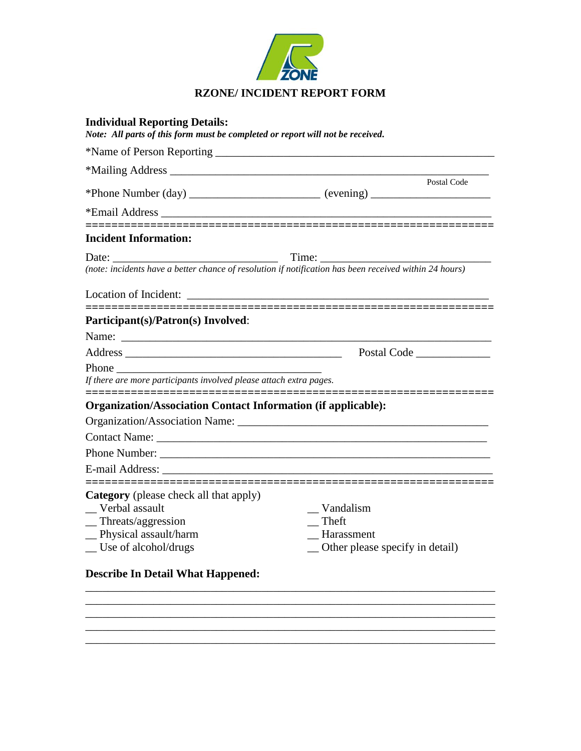

| <b>Individual Reporting Details:</b><br>Note: All parts of this form must be completed or report will not be received. |                                                                                                 |
|------------------------------------------------------------------------------------------------------------------------|-------------------------------------------------------------------------------------------------|
|                                                                                                                        |                                                                                                 |
|                                                                                                                        |                                                                                                 |
|                                                                                                                        | Postal Code<br>*Phone Number (day) ________________________ (evening) _________________________ |
|                                                                                                                        |                                                                                                 |
|                                                                                                                        |                                                                                                 |
| <b>Incident Information:</b>                                                                                           |                                                                                                 |
| <u> 1990 - Johann Barbara, martin a</u><br>Date: $\frac{1}{2}$                                                         |                                                                                                 |
| (note: incidents have a better chance of resolution if notification has been received within 24 hours)                 |                                                                                                 |
|                                                                                                                        |                                                                                                 |
| Participant(s)/Patron(s) Involved:                                                                                     |                                                                                                 |
|                                                                                                                        |                                                                                                 |
|                                                                                                                        |                                                                                                 |
| Phone                                                                                                                  |                                                                                                 |
| If there are more participants involved please attach extra pages.                                                     |                                                                                                 |
| <b>Organization/Association Contact Information (if applicable):</b>                                                   |                                                                                                 |
| <b>Organization/Association Name:</b>                                                                                  |                                                                                                 |
|                                                                                                                        |                                                                                                 |
|                                                                                                                        |                                                                                                 |
|                                                                                                                        |                                                                                                 |
| <b>Category</b> (please check all that apply)                                                                          |                                                                                                 |
| Verbal assault                                                                                                         | Vandalism                                                                                       |
| $\equiv$ Threats/aggression                                                                                            | $\overline{\phantom{a}}$ Theft                                                                  |
| _Physical assault/harm<br>$\equiv$ Use of alcohol/drugs                                                                | $\equiv$ Harassment<br>_ Other please specify in detail)                                        |
|                                                                                                                        |                                                                                                 |
| <b>Describe In Detail What Happened:</b>                                                                               |                                                                                                 |

\_\_\_\_\_\_\_\_\_\_\_\_\_\_\_\_\_\_\_\_\_\_\_\_\_\_\_\_\_\_\_\_\_\_\_\_\_\_\_\_\_\_\_\_\_\_\_\_\_\_\_\_\_\_\_\_\_\_\_\_\_\_\_\_\_\_\_\_\_\_\_\_ \_\_\_\_\_\_\_\_\_\_\_\_\_\_\_\_\_\_\_\_\_\_\_\_\_\_\_\_\_\_\_\_\_\_\_\_\_\_\_\_\_\_\_\_\_\_\_\_\_\_\_\_\_\_\_\_\_\_\_\_\_\_\_\_\_\_\_\_\_\_\_\_  $\overline{\phantom{a}}$  , and the contribution of the contribution of the contribution of the contribution of the contribution of the contribution of the contribution of the contribution of the contribution of the contribution of the \_\_\_\_\_\_\_\_\_\_\_\_\_\_\_\_\_\_\_\_\_\_\_\_\_\_\_\_\_\_\_\_\_\_\_\_\_\_\_\_\_\_\_\_\_\_\_\_\_\_\_\_\_\_\_\_\_\_\_\_\_\_\_\_\_\_\_\_\_\_\_\_ \_\_\_\_\_\_\_\_\_\_\_\_\_\_\_\_\_\_\_\_\_\_\_\_\_\_\_\_\_\_\_\_\_\_\_\_\_\_\_\_\_\_\_\_\_\_\_\_\_\_\_\_\_\_\_\_\_\_\_\_\_\_\_\_\_\_\_\_\_\_\_\_